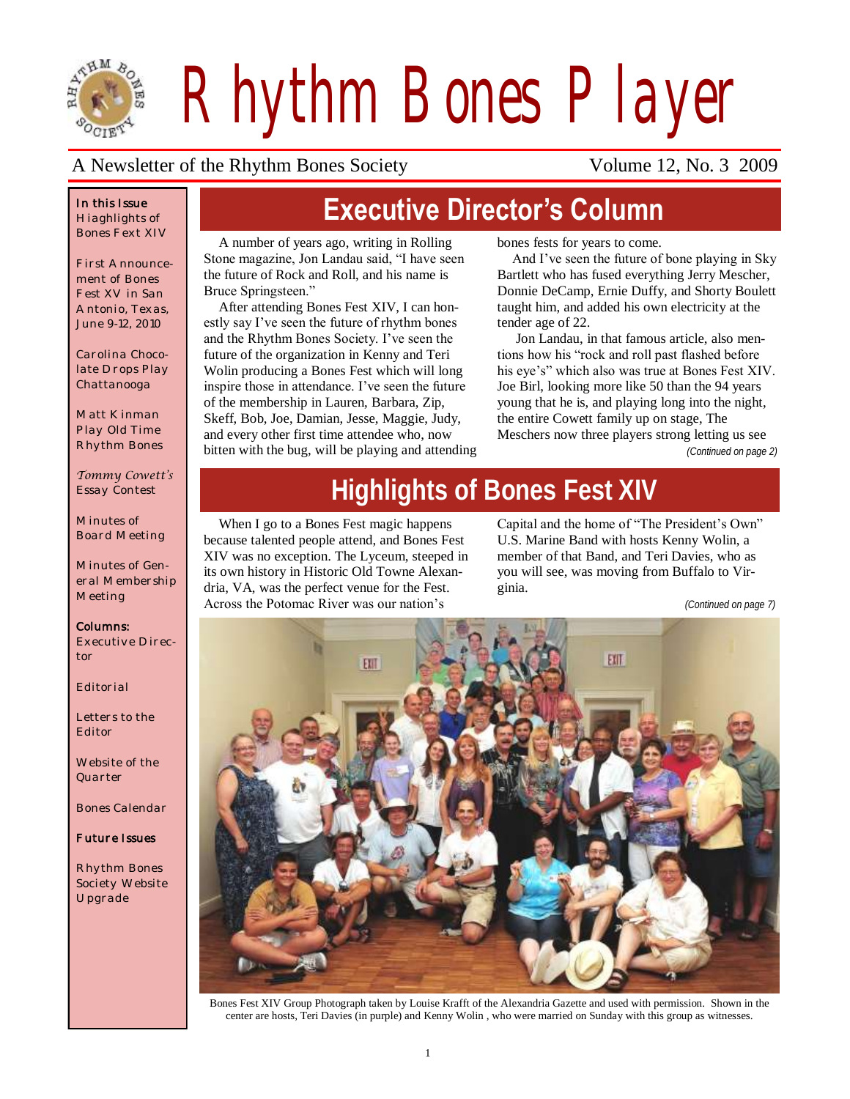

*Rhythm Bones Player*

#### A Newsletter of the Rhythm Bones Society Volume 12, No. 3 2009

#### *In this Issue Hiaghlights of Bones Fext XIV*

*First Announcement of Bones Fest XV in San Antonio, Texas, June 9-12, 2010*

*Carolina Chocolate Drops Play Chattanooga*

*Matt Kinman Play Old Time Rhythm Bones*

*Tommy Cowett's Essay Contest*

*Minutes of Board Meeting*

*Minutes of General Membership Meeting*

*Columns: Executive Director*

*Editorial*

*Letters to the Editor*

*Website of the Quarter*

*Bones Calendar*

*Future Issues* 

*Rhythm Bones Society Website Upgrade*

## **Executive Director's Column**

A number of years ago, writing in Rolling Stone magazine, Jon Landau said, "I have seen the future of Rock and Roll, and his name is Bruce Springsteen."

After attending Bones Fest XIV, I can honestly say I've seen the future of rhythm bones and the Rhythm Bones Society. I've seen the future of the organization in Kenny and Teri Wolin producing a Bones Fest which will long inspire those in attendance. I've seen the future of the membership in Lauren, Barbara, Zip, Skeff, Bob, Joe, Damian, Jesse, Maggie, Judy, and every other first time attendee who, now bitten with the bug, will be playing and attending bones fests for years to come.

And I've seen the future of bone playing in Sky Bartlett who has fused everything Jerry Mescher, Donnie DeCamp, Ernie Duffy, and Shorty Boulett taught him, and added his own electricity at the tender age of 22.

Jon Landau, in that famous article, also mentions how his "rock and roll past flashed before his eye's" which also was true at Bones Fest XIV. Joe Birl, looking more like 50 than the 94 years young that he is, and playing long into the night, the entire Cowett family up on stage, The Meschers now three players strong letting us see

*(Continued on page 2)*

# **Highlights of Bones Fest XIV**

When I go to a Bones Fest magic happens because talented people attend, and Bones Fest XIV was no exception. The Lyceum, steeped in its own history in Historic Old Towne Alexandria, VA, was the perfect venue for the Fest. Across the Potomac River was our nation's

Capital and the home of "The President's Own" U.S. Marine Band with hosts Kenny Wolin, a member of that Band, and Teri Davies, who as you will see, was moving from Buffalo to Virginia.

*(Continued on page 7)*



Bones Fest XIV Group Photograph taken by Louise Krafft of the Alexandria Gazette and used with permission. Shown in the center are hosts, Teri Davies (in purple) and Kenny Wolin , who were married on Sunday with this group as witnesses.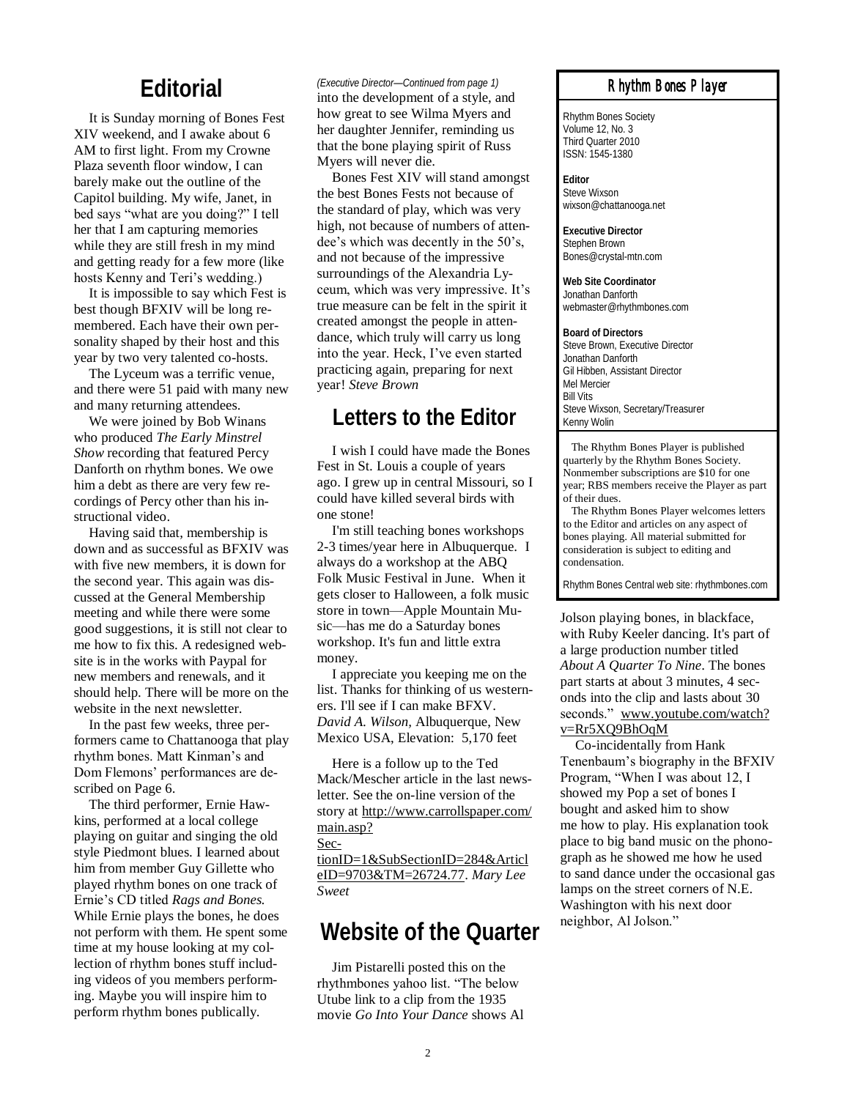#### **Editorial**

It is Sunday morning of Bones Fest XIV weekend, and I awake about 6 AM to first light. From my Crowne Plaza seventh floor window, I can barely make out the outline of the Capitol building. My wife, Janet, in bed says "what are you doing?" I tell her that I am capturing memories while they are still fresh in my mind and getting ready for a few more (like hosts Kenny and Teri's wedding.)

It is impossible to say which Fest is best though BFXIV will be long remembered. Each have their own personality shaped by their host and this year by two very talented co-hosts.

The Lyceum was a terrific venue, and there were 51 paid with many new and many returning attendees.

We were joined by Bob Winans who produced *The Early Minstrel Show* recording that featured Percy Danforth on rhythm bones. We owe him a debt as there are very few recordings of Percy other than his instructional video.

Having said that, membership is down and as successful as BFXIV was with five new members, it is down for the second year. This again was discussed at the General Membership meeting and while there were some good suggestions, it is still not clear to me how to fix this. A redesigned website is in the works with Paypal for new members and renewals, and it should help. There will be more on the website in the next newsletter.

In the past few weeks, three performers came to Chattanooga that play rhythm bones. Matt Kinman's and Dom Flemons' performances are described on Page 6.

The third performer, Ernie Hawkins, performed at a local college playing on guitar and singing the old style Piedmont blues. I learned about him from member Guy Gillette who played rhythm bones on one track of Ernie's CD titled *Rags and Bones.*  While Ernie plays the bones, he does not perform with them. He spent some time at my house looking at my collection of rhythm bones stuff including videos of you members performing. Maybe you will inspire him to perform rhythm bones publically.

#### *(Executive Director—Continued from page 1)*

into the development of a style, and how great to see Wilma Myers and her daughter Jennifer, reminding us that the bone playing spirit of Russ Myers will never die.

Bones Fest XIV will stand amongst the best Bones Fests not because of the standard of play, which was very high, not because of numbers of attendee's which was decently in the 50's, and not because of the impressive surroundings of the Alexandria Lyceum, which was very impressive. It's true measure can be felt in the spirit it created amongst the people in attendance, which truly will carry us long into the year. Heck, I've even started practicing again, preparing for next year! *Steve Brown*

#### **Letters to the Editor**

I wish I could have made the Bones Fest in St. Louis a couple of years ago. I grew up in central Missouri, so I could have killed several birds with one stone!

I'm still teaching bones workshops 2-3 times/year here in Albuquerque. I always do a workshop at the ABQ Folk Music Festival in June. When it gets closer to Halloween, a folk music store in town—Apple Mountain Music—has me do a Saturday bones workshop. It's fun and little extra money.

I appreciate you keeping me on the list. Thanks for thinking of us westerners. I'll see if I can make BFXV. *David A. Wilson,* Albuquerque, New Mexico USA, Elevation: 5,170 feet

Here is a follow up to the Ted Mack/Mescher article in the last newsletter. See the on-line version of the story at [http://www.carrollspaper.com/](http://www.carrollspaper.com/main.asp?SectionID=1&SubSectionID=284&ArticleID=9703&TM=26724.77) [main.asp?](http://www.carrollspaper.com/main.asp?SectionID=1&SubSectionID=284&ArticleID=9703&TM=26724.77)

[Sec-](http://www.carrollspaper.com/main.asp?SectionID=1&SubSectionID=284&ArticleID=9703&TM=26724.77)

[tionID=1&SubSectionID=284&Articl](http://www.carrollspaper.com/main.asp?SectionID=1&SubSectionID=284&ArticleID=9703&TM=26724.77) [eID=9703&TM=26724.77.](http://www.carrollspaper.com/main.asp?SectionID=1&SubSectionID=284&ArticleID=9703&TM=26724.77) *Mary Lee Sweet*

#### **Website of the Quarter**

Jim Pistarelli posted this on the rhythmbones yahoo list. "The below Utube link to a clip from the 1935 movie *Go Into Your Dance* shows Al

#### *Rhythm Bones Player*

Rhythm Bones Society Volume 12, No. 3 Third Quarter 2010 ISSN: 1545-1380

**Editor** Steve Wixson wixson@chattanooga.net

**Executive Director** Stephen Brown Bones@crystal-mtn.com

**Web Site Coordinator** Jonathan Danforth webmaster@rhythmbones.com

**Board of Directors** Steve Brown, Executive Director Jonathan Danforth Gil Hibben, Assistant Director Mel Mercier Bill Vits Steve Wixson, Secretary/Treasurer Kenny Wolin

 The Rhythm Bones Player is published quarterly by the Rhythm Bones Society. Nonmember subscriptions are \$10 for one year; RBS members receive the Player as part of their dues.

 The Rhythm Bones Player welcomes letters to the Editor and articles on any aspect of bones playing. All material submitted for consideration is subject to editing and condensation.

Rhythm Bones Central web site: rhythmbones.com

Jolson playing bones, in blackface, with Ruby Keeler dancing. It's part of a large production number titled *About A Quarter To Nine*. The bones part starts at about 3 minutes, 4 seconds into the clip and lasts about 30 seconds." [www.youtube.com/watch?](http://www.youtube.com/watch?v=Rr5XQ9BhOqM) [v=Rr5XQ9BhOqM](http://www.youtube.com/watch?v=Rr5XQ9BhOqM)

Co-incidentally from Hank Tenenbaum's biography in the BFXIV Program, "When I was about 12, I showed my Pop a set of bones I bought and asked him to show me how to play. His explanation took place to big band music on the phonograph as he showed me how he used to sand dance under the occasional gas lamps on the street corners of N.E. Washington with his next door neighbor, Al Jolson."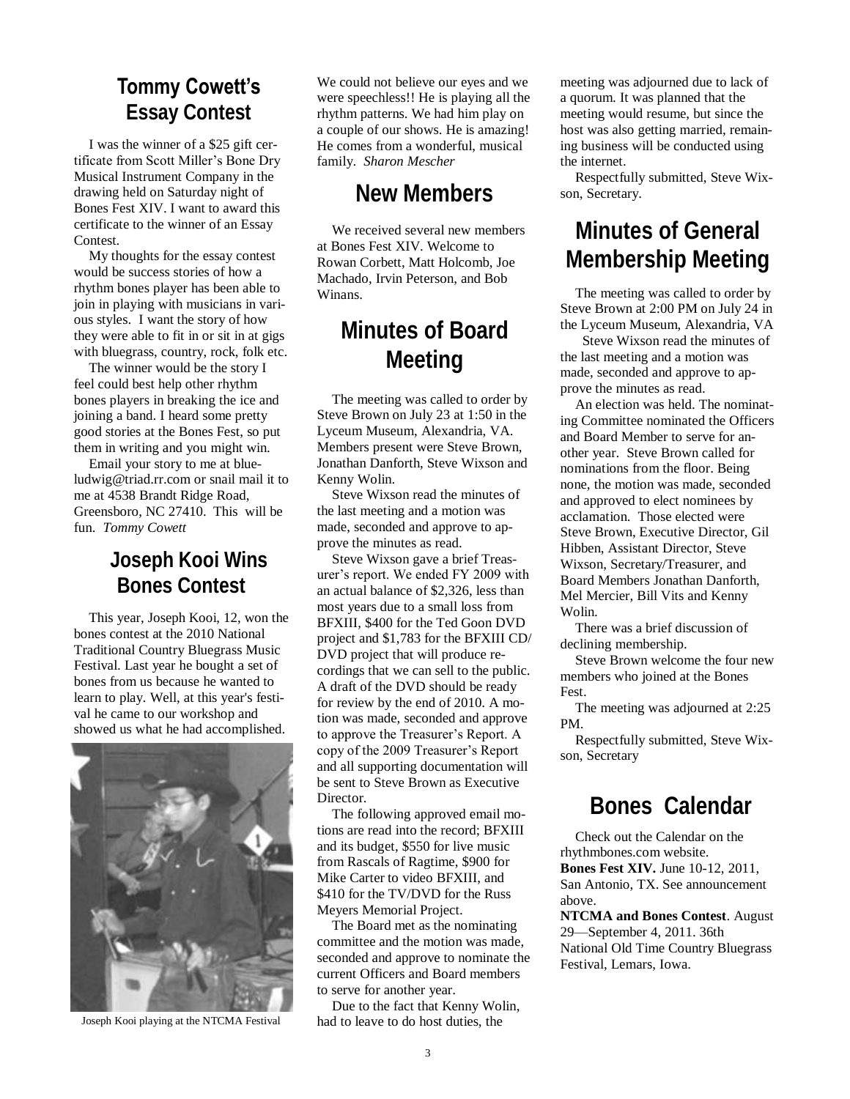## **Tommy Cowett's**

**Essay Contest**

I was the winner of a \$25 gift certificate from Scott Miller's Bone Dry Musical Instrument Company in the drawing held on Saturday night of Bones Fest XIV. I want to award this certificate to the winner of an Essay Contest.

My thoughts for the essay contest would be success stories of how a rhythm bones player has been able to join in playing with musicians in various styles. I want the story of how they were able to fit in or sit in at gigs with bluegrass, country, rock, folk etc.

The winner would be the story I feel could best help other rhythm bones players in breaking the ice and joining a band. I heard some pretty good stories at the Bones Fest, so put them in writing and you might win.

Email your story to me at blueludwig@triad.rr.com or snail mail it to me at 4538 Brandt Ridge Road, Greensboro, NC 27410. This will be fun. *Tommy Cowett*

#### **Joseph Kooi Wins Bones Contest**

This year, Joseph Kooi, 12, won the bones contest at the 2010 National Traditional Country Bluegrass Music Festival. Last year he bought a set of bones from us because he wanted to learn to play. Well, at this year's festival he came to our workshop and showed us what he had accomplished.



Joseph Kooi playing at the NTCMA Festival

We could not believe our eyes and we were speechless!! He is playing all the rhythm patterns. We had him play on a couple of our shows. He is amazing! He comes from a wonderful, musical family. *Sharon Mescher*

#### **New Members**

We received several new members at Bones Fest XIV. Welcome to Rowan Corbett, Matt Holcomb, Joe Machado, Irvin Peterson, and Bob Winans.

### **Minutes of Board Meeting**

The meeting was called to order by Steve Brown on July 23 at 1:50 in the Lyceum Museum, Alexandria, VA. Members present were Steve Brown, Jonathan Danforth, Steve Wixson and Kenny Wolin.

Steve Wixson read the minutes of the last meeting and a motion was made, seconded and approve to approve the minutes as read.

Steve Wixson gave a brief Treasurer's report. We ended FY 2009 with an actual balance of \$2,326, less than most years due to a small loss from BFXIII, \$400 for the Ted Goon DVD project and \$1,783 for the BFXIII CD/ DVD project that will produce recordings that we can sell to the public. A draft of the DVD should be ready for review by the end of 2010. A motion was made, seconded and approve to approve the Treasurer's Report. A copy of the 2009 Treasurer's Report and all supporting documentation will be sent to Steve Brown as Executive **Director** 

The following approved email motions are read into the record; BFXIII and its budget, \$550 for live music from Rascals of Ragtime, \$900 for Mike Carter to video BFXIII, and \$410 for the TV/DVD for the Russ Meyers Memorial Project.

The Board met as the nominating committee and the motion was made, seconded and approve to nominate the current Officers and Board members to serve for another year.

Due to the fact that Kenny Wolin, had to leave to do host duties, the

meeting was adjourned due to lack of a quorum. It was planned that the meeting would resume, but since the host was also getting married, remaining business will be conducted using the internet.

Respectfully submitted, Steve Wixson, Secretary.

## **Minutes of General Membership Meeting**

The meeting was called to order by Steve Brown at 2:00 PM on July 24 in the Lyceum Museum, Alexandria, VA

 Steve Wixson read the minutes of the last meeting and a motion was made, seconded and approve to approve the minutes as read.

An election was held. The nominating Committee nominated the Officers and Board Member to serve for another year. Steve Brown called for nominations from the floor. Being none, the motion was made, seconded and approved to elect nominees by acclamation. Those elected were Steve Brown, Executive Director, Gil Hibben, Assistant Director, Steve Wixson, Secretary/Treasurer, and Board Members Jonathan Danforth, Mel Mercier, Bill Vits and Kenny Wolin.

There was a brief discussion of declining membership.

Steve Brown welcome the four new members who joined at the Bones Fest.

The meeting was adjourned at 2:25 PM.

Respectfully submitted, Steve Wixson, Secretary

### **Bones Calendar**

Check out the Calendar on the rhythmbones.com website. **Bones Fest XIV.** June 10-12, 2011, San Antonio, TX. See announcement above.

**NTCMA and Bones Contest**. August 29—September 4, 2011. 36th National Old Time Country Bluegrass Festival, Lemars, Iowa.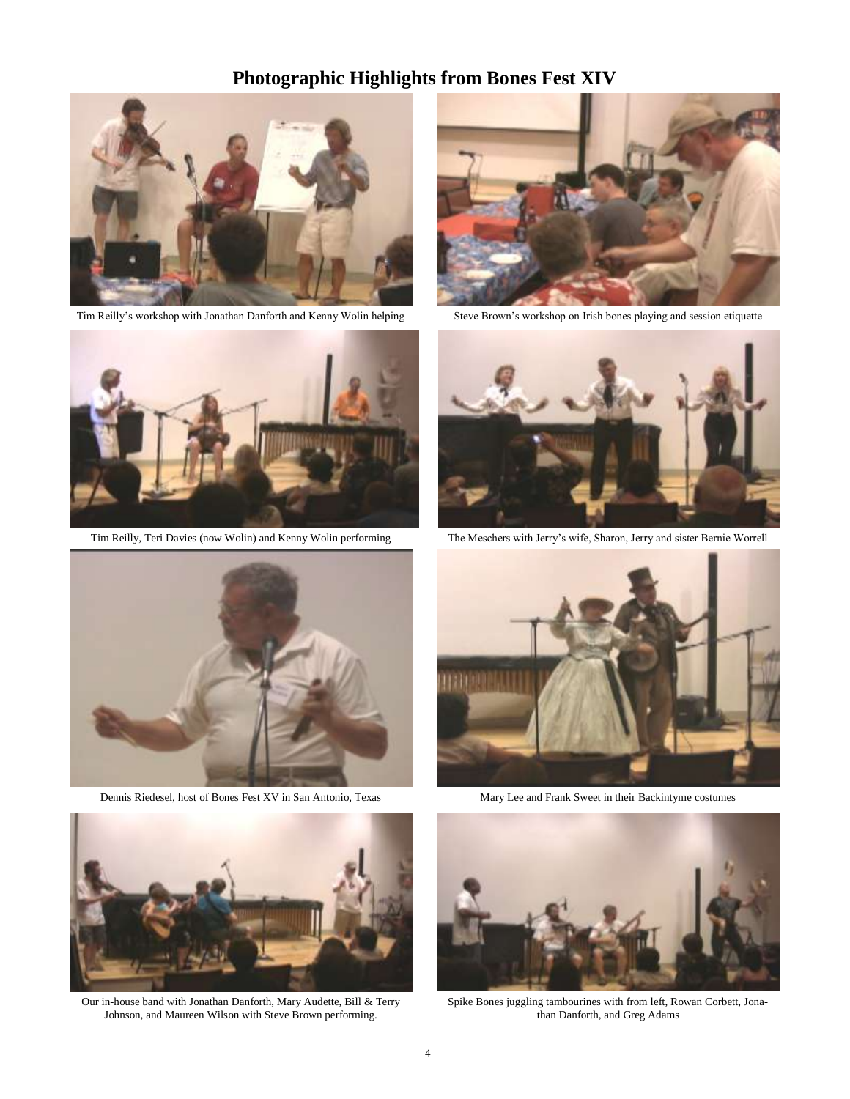#### **Photographic Highlights from Bones Fest XIV**



Tim Reilly's workshop with Jonathan Danforth and Kenny Wolin helping Steve Brown's workshop on Irish bones playing and session etiquette



Tim Reilly, Teri Davies (now Wolin) and Kenny Wolin performing



Dennis Riedesel, host of Bones Fest XV in San Antonio, Texas



Our in-house band with Jonathan Danforth, Mary Audette, Bill & Terry Johnson, and Maureen Wilson with Steve Brown performing.





The Meschers with Jerry's wife, Sharon, Jerry and sister Bernie Worrell



Mary Lee and Frank Sweet in their Backintyme costumes



Spike Bones juggling tambourines with from left, Rowan Corbett, Jonathan Danforth, and Greg Adams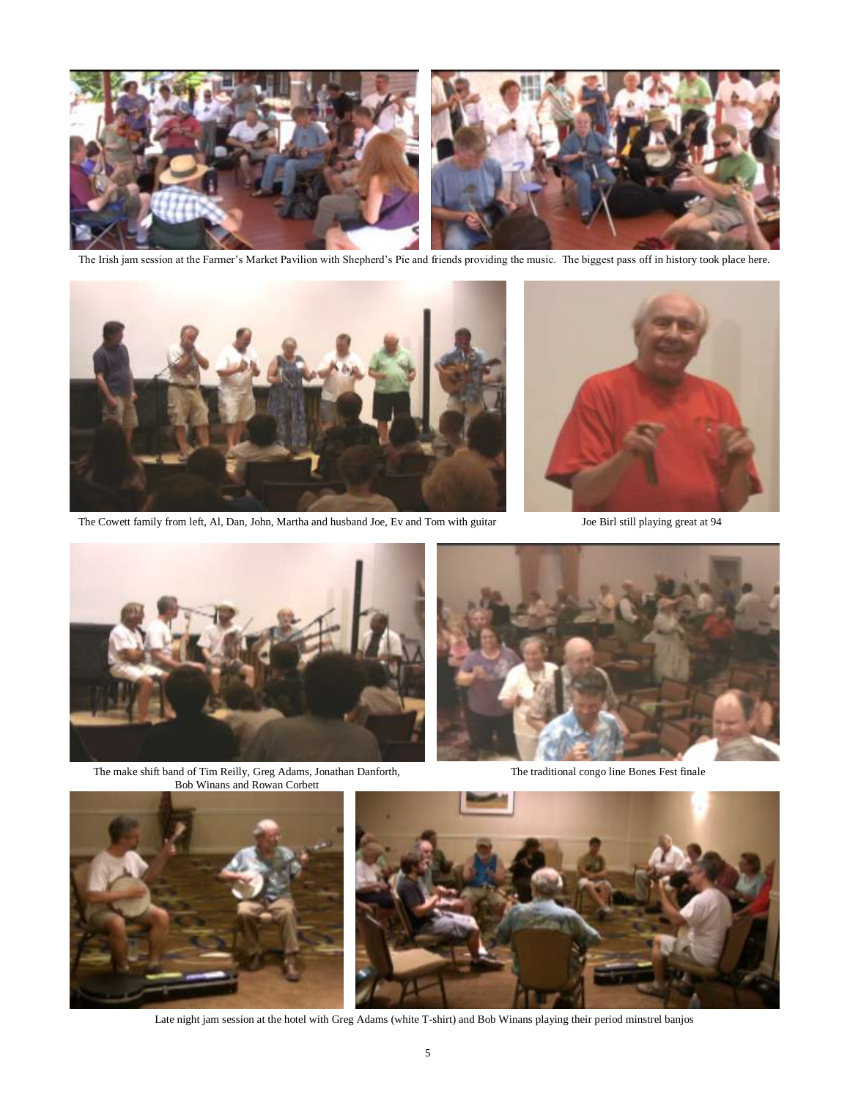

The Irish jam session at the Farmer's Market Pavilion with Shepherd's Pie and friends providing the music. The biggest pass off in history took place here.



The Cowett family from left, Al, Dan, John, Martha and husband Joe, Ev and Tom with guitar Joe Birl still playing great at 94





The make shift band of Tim Reilly, Greg Adams, Jonathan Danforth, The traditional congo line Bones Fest finale Bob Winans and Rowan Corbett







Late night jam session at the hotel with Greg Adams (white T-shirt) and Bob Winans playing their period minstrel banjos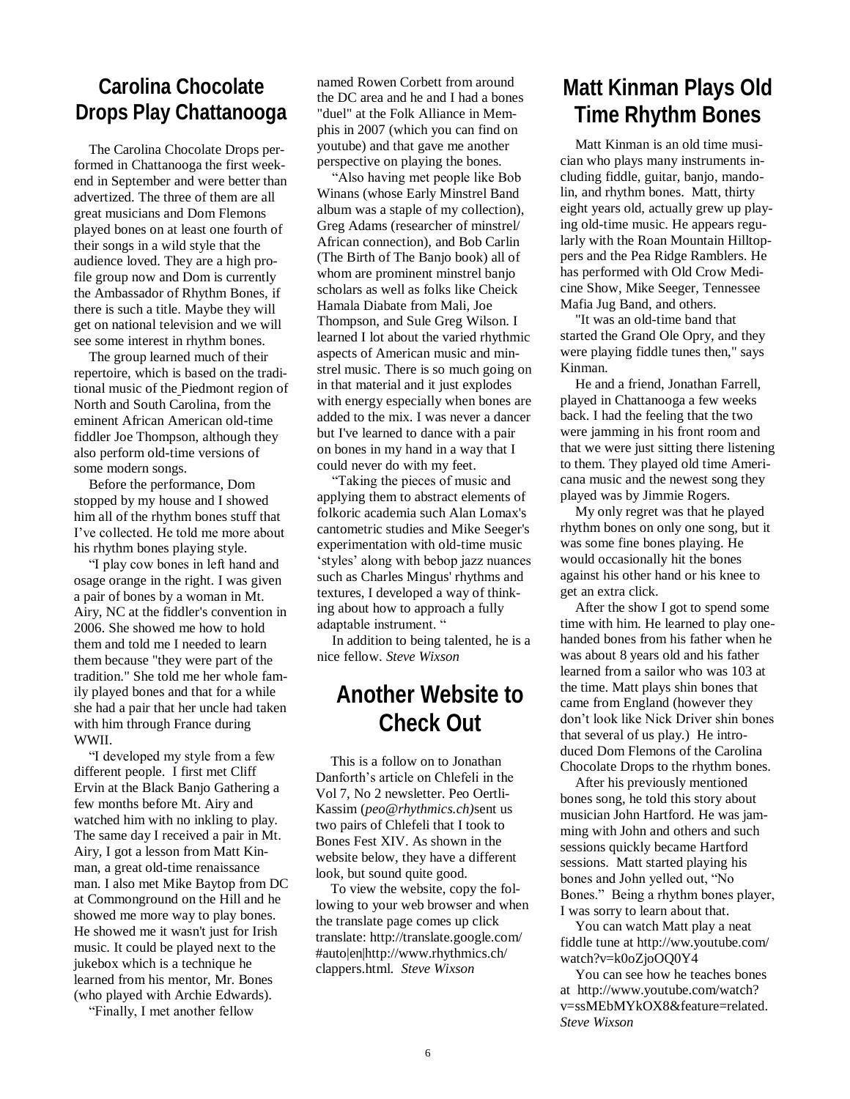#### **Carolina Chocolate Drops Play Chattanooga**

The Carolina Chocolate Drops performed in Chattanooga the first weekend in September and were better than advertized. The three of them are all great musicians and Dom Flemons played bones on at least one fourth of their songs in a wild style that the audience loved. They are a high profile group now and Dom is currently the Ambassador of Rhythm Bones, if there is such a title. Maybe they will get on national television and we will see some interest in rhythm bones.

The group learned much of their repertoire, which is based on the traditional music of the [Piedmont](http://en.wikipedia.org/wiki/Piedmont_%28United_States%29) region of North and [South Carolina,](http://en.wikipedia.org/wiki/South_Carolina) from the eminent African American old-time fiddler Joe Thompson, although they also perform old-time versions of some modern songs.

Before the performance, Dom stopped by my house and I showed him all of the rhythm bones stuff that I've collected. He told me more about his rhythm bones playing style.

―I play cow bones in left hand and osage orange in the right. I was given a pair of bones by a woman in Mt. Airy, NC at the fiddler's convention in 2006. She showed me how to hold them and told me I needed to learn them because "they were part of the tradition." She told me her whole family played bones and that for a while she had a pair that her uncle had taken with him through France during WWII.

"I developed my style from a few different people. I first met Cliff Ervin at the Black Banjo Gathering a few months before Mt. Airy and watched him with no inkling to play. The same day I received a pair in Mt. Airy, I got a lesson from Matt Kinman, a great old-time renaissance man. I also met Mike Baytop from DC at Commonground on the Hill and he showed me more way to play bones. He showed me it wasn't just for Irish music. It could be played next to the jukebox which is a technique he learned from his mentor, Mr. Bones (who played with Archie Edwards).

―Finally, I met another fellow

named Rowen Corbett from around the DC area and he and I had a bones "duel" at the Folk Alliance in Memphis in 2007 (which you can find on youtube) and that gave me another perspective on playing the bones.

―Also having met people like Bob Winans (whose Early Minstrel Band album was a staple of my collection), Greg Adams (researcher of minstrel/ African connection), and Bob Carlin (The Birth of The Banjo book) all of whom are prominent minstrel banjo scholars as well as folks like Cheick Hamala Diabate from Mali, Joe Thompson, and Sule Greg Wilson. I learned I lot about the varied rhythmic aspects of American music and minstrel music. There is so much going on in that material and it just explodes with energy especially when bones are added to the mix. I was never a dancer but I've learned to dance with a pair on bones in my hand in a way that I could never do with my feet.

―Taking the pieces of music and applying them to abstract elements of folkoric academia such Alan Lomax's cantometric studies and Mike Seeger's experimentation with old-time music ‗styles' along with bebop jazz nuances such as Charles Mingus' rhythms and textures, I developed a way of thinking about how to approach a fully adaptable instrument. "

In addition to being talented, he is a nice fellow. *Steve Wixson*

### **Another Website to Check Out**

This is a follow on to Jonathan Danforth's article on Chlefeli in the Vol 7, No 2 newsletter. Peo Oertli-Kassim (*peo@rhythmics.ch)*sent us two pairs of Chlefeli that I took to Bones Fest XIV. As shown in the website below, they have a different look, but sound quite good.

To view the website, copy the following to your web browser and when the translate page comes up click translate: http://translate.google.com/ #auto|en|http://www.rhythmics.ch/ clappers.html. *Steve Wixson*

### **Matt Kinman Plays Old Time Rhythm Bones**

Matt Kinman is an old time musician who plays many instruments including fiddle, guitar, banjo, mandolin, and rhythm bones. Matt, thirty eight years old, actually grew up playing old-time music. He appears regularly with the Roan Mountain Hilltoppers and the Pea Ridge Ramblers. He has performed with Old Crow Medicine Show, Mike Seeger, Tennessee Mafia Jug Band, and others.

"It was an old-time band that started the Grand Ole Opry, and they were playing fiddle tunes then," says Kinman.

He and a friend, Jonathan Farrell, played in Chattanooga a few weeks back. I had the feeling that the two were jamming in his front room and that we were just sitting there listening to them. They played old time Americana music and the newest song they played was by Jimmie Rogers.

My only regret was that he played rhythm bones on only one song, but it was some fine bones playing. He would occasionally hit the bones against his other hand or his knee to get an extra click.

After the show I got to spend some time with him. He learned to play onehanded bones from his father when he was about 8 years old and his father learned from a sailor who was 103 at the time. Matt plays shin bones that came from England (however they don't look like Nick Driver shin bones that several of us play.) He introduced Dom Flemons of the Carolina Chocolate Drops to the rhythm bones.

After his previously mentioned bones song, he told this story about musician John Hartford. He was jamming with John and others and such sessions quickly became Hartford sessions. Matt started playing his bones and John yelled out, "No Bones." Being a rhythm bones player, I was sorry to learn about that.

You can watch Matt play a neat fiddle tune at http://ww.youtube.com/ watch?v=k0oZjoOQ0Y4

You can see how he teaches bones at http://www.youtube.com/watch? v=ssMEbMYkOX8&feature=related. *Steve Wixson*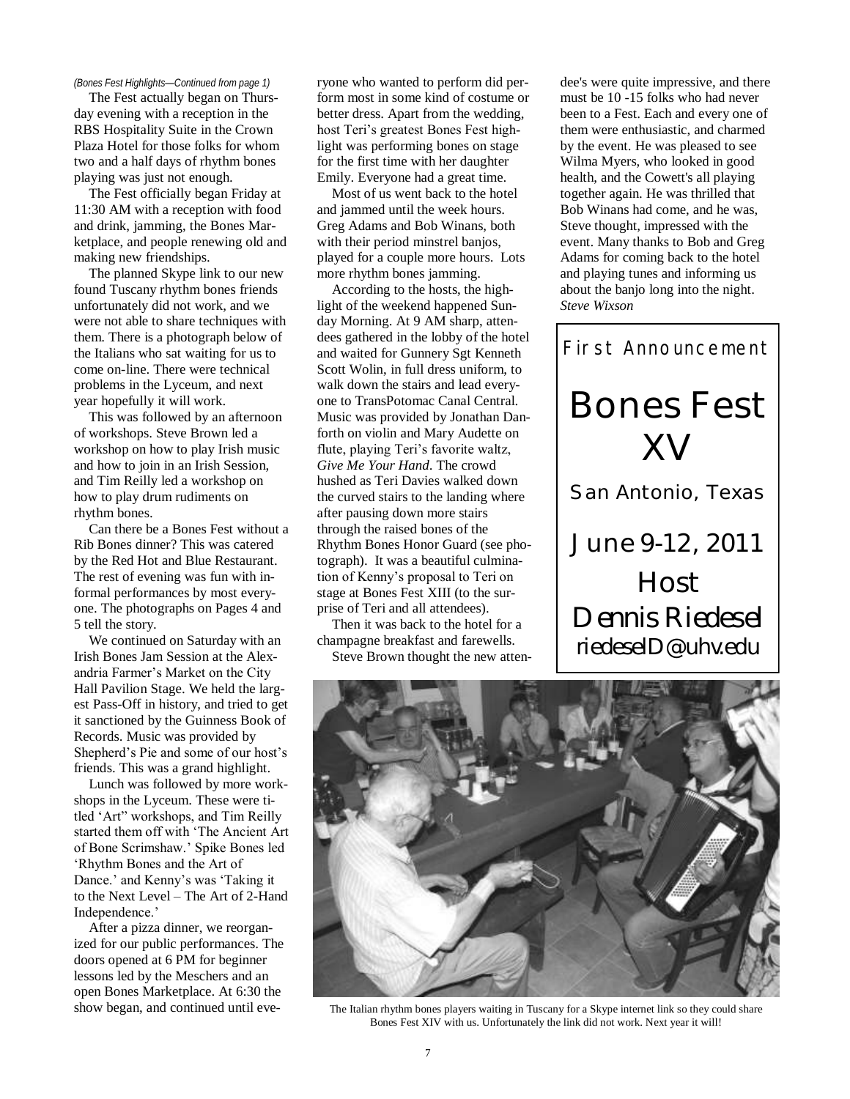#### *(Bones Fest Highlights—Continued from page 1)*

The Fest actually began on Thursday evening with a reception in the RBS Hospitality Suite in the Crown Plaza Hotel for those folks for whom two and a half days of rhythm bones playing was just not enough.

The Fest officially began Friday at 11:30 AM with a reception with food and drink, jamming, the Bones Marketplace, and people renewing old and making new friendships.

The planned Skype link to our new found Tuscany rhythm bones friends unfortunately did not work, and we were not able to share techniques with them. There is a photograph below of the Italians who sat waiting for us to come on-line. There were technical problems in the Lyceum, and next year hopefully it will work.

This was followed by an afternoon of workshops. Steve Brown led a workshop on how to play Irish music and how to join in an Irish Session, and Tim Reilly led a workshop on how to play drum rudiments on rhythm bones.

Can there be a Bones Fest without a Rib Bones dinner? This was catered by the Red Hot and Blue Restaurant. The rest of evening was fun with informal performances by most everyone. The photographs on Pages 4 and 5 tell the story.

We continued on Saturday with an Irish Bones Jam Session at the Alexandria Farmer's Market on the City Hall Pavilion Stage. We held the largest Pass-Off in history, and tried to get it sanctioned by the Guinness Book of Records. Music was provided by Shepherd's Pie and some of our host's friends. This was a grand highlight.

Lunch was followed by more workshops in the Lyceum. These were titled 'Art" workshops, and Tim Reilly started them off with 'The Ancient Art of Bone Scrimshaw.' Spike Bones led ‗Rhythm Bones and the Art of Dance.' and Kenny's was 'Taking it to the Next Level – The Art of 2-Hand Independence.'

After a pizza dinner, we reorganized for our public performances. The doors opened at 6 PM for beginner lessons led by the Meschers and an open Bones Marketplace. At 6:30 the show began, and continued until everyone who wanted to perform did perform most in some kind of costume or better dress. Apart from the wedding, host Teri's greatest Bones Fest highlight was performing bones on stage for the first time with her daughter Emily. Everyone had a great time.

Most of us went back to the hotel and jammed until the week hours. Greg Adams and Bob Winans, both with their period minstrel banjos, played for a couple more hours. Lots more rhythm bones jamming.

According to the hosts, the highlight of the weekend happened Sunday Morning. At 9 AM sharp, attendees gathered in the lobby of the hotel and waited for Gunnery Sgt Kenneth Scott Wolin, in full dress uniform, to walk down the stairs and lead everyone to TransPotomac Canal Central. Music was provided by Jonathan Danforth on violin and Mary Audette on flute, playing Teri's favorite waltz, *Give Me Your Hand*. The crowd hushed as Teri Davies walked down the curved stairs to the landing where after pausing down more stairs through the raised bones of the Rhythm Bones Honor Guard (see photograph). It was a beautiful culmination of Kenny's proposal to Teri on stage at Bones Fest XIII (to the surprise of Teri and all attendees).

Then it was back to the hotel for a champagne breakfast and farewells.

Steve Brown thought the new atten-

dee's were quite impressive, and there must be 10 -15 folks who had never been to a Fest. Each and every one of them were enthusiastic, and charmed by the event. He was pleased to see Wilma Myers, who looked in good health, and the Cowett's all playing together again. He was thrilled that Bob Winans had come, and he was, Steve thought, impressed with the event. Many thanks to Bob and Greg Adams for coming back to the hotel and playing tunes and informing us about the banjo long into the night. *Steve Wixson*





The Italian rhythm bones players waiting in Tuscany for a Skype internet link so they could share Bones Fest XIV with us. Unfortunately the link did not work. Next year it will!